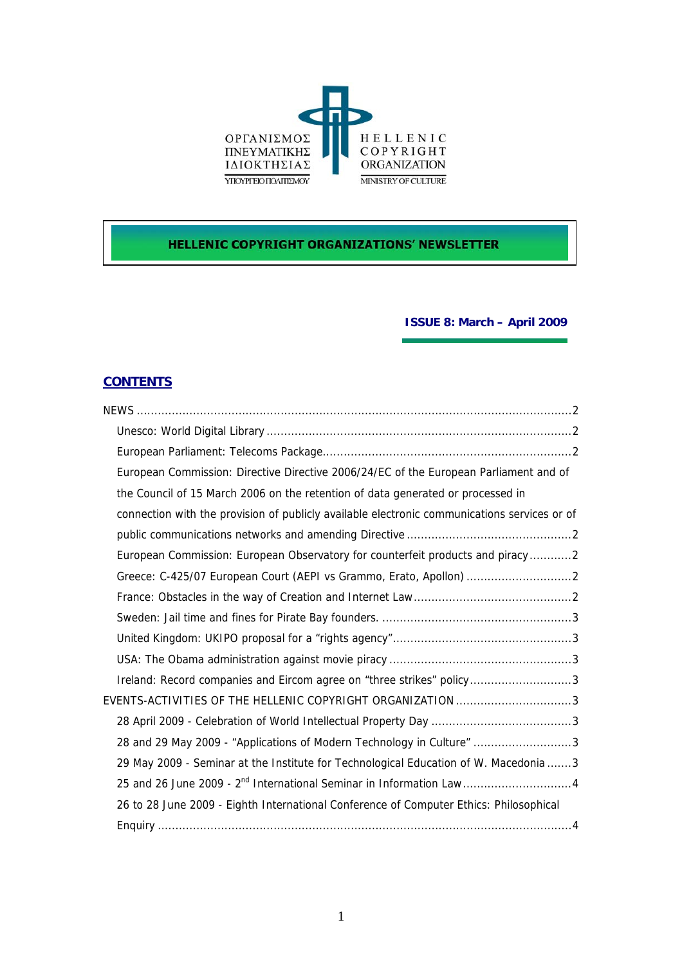

# **HELLENIC COPYRIGHT ORGANIZATIONS' NEWSLETTER**

## **ISSUE 8: March – April 2009**

# **CONTENTS**

| European Commission: Directive Directive 2006/24/EC of the European Parliament and of        |
|----------------------------------------------------------------------------------------------|
| the Council of 15 March 2006 on the retention of data generated or processed in              |
| connection with the provision of publicly available electronic communications services or of |
|                                                                                              |
| European Commission: European Observatory for counterfeit products and piracy2               |
| Greece: C-425/07 European Court (AEPI vs Grammo, Erato, Apollon)                             |
|                                                                                              |
|                                                                                              |
|                                                                                              |
|                                                                                              |
| Ireland: Record companies and Eircom agree on "three strikes" policy3                        |
| EVENTS-ACTIVITIES OF THE HELLENIC COPYRIGHT ORGANIZATION 3                                   |
|                                                                                              |
| 28 and 29 May 2009 - "Applications of Modern Technology in Culture" 3                        |
| 29 May 2009 - Seminar at the Institute for Technological Education of W. Macedonia  3        |
| 25 and 26 June 2009 - 2 <sup>nd</sup> International Seminar in Information Law4              |
| 26 to 28 June 2009 - Eighth International Conference of Computer Ethics: Philosophical       |
|                                                                                              |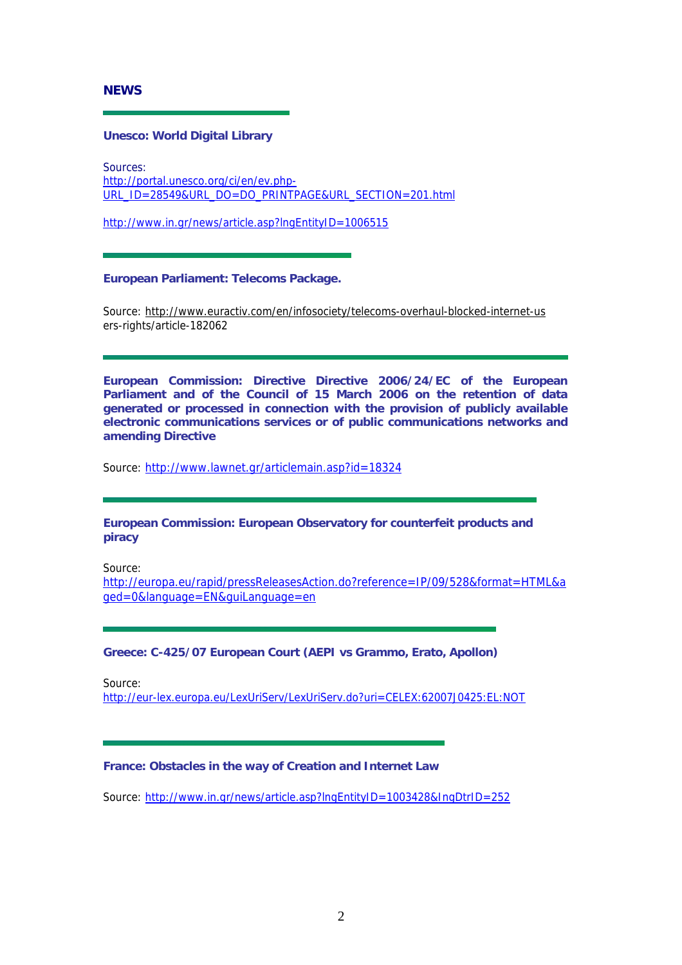<span id="page-1-0"></span>**NEWS** 

## **Unesco: World Digital Library**

Sources: [http://portal.unesco.org/ci/en/ev.php-](http://portal.unesco.org/ci/en/ev.php-URL_ID=28549&URL_DO=DO_PRINTPAGE&URL_SECTION=201.html)[URL\\_ID=28549&URL\\_DO=DO\\_PRINTPAGE&URL\\_SECTION=201.html](http://portal.unesco.org/ci/en/ev.php-URL_ID=28549&URL_DO=DO_PRINTPAGE&URL_SECTION=201.html)

<http://www.in.gr/news/article.asp?lngEntityID=1006515>

### **European Parliament: Telecoms Package.**

Source: <http://www.euractiv.com/en/infosociety/telecoms-overhaul-blocked-internet-us> ers-rights/article-182062

**European Commission: Directive Directive 2006/24/EC of the European Parliament and of the Council of 15 March 2006 on the retention of data generated or processed in connection with the provision of publicly available electronic communications services or of public communications networks and amending Directive** 

Source: <http://www.lawnet.gr/articlemain.asp?id=18324>

## **European Commission: European Observatory for counterfeit products and piracy**

Source:

[http://europa.eu/rapid/pressReleasesAction.do?reference=IP/09/528&format=HTML&a](http://europa.eu/rapid/pressReleasesAction.do?reference=IP/09/528&format=HTML&aged=0&language=EN&guiLanguage=en) [ged=0&language=EN&guiLanguage=en](http://europa.eu/rapid/pressReleasesAction.do?reference=IP/09/528&format=HTML&aged=0&language=EN&guiLanguage=en)

## **Greece: C-425/07 European Court (AEPI vs Grammo, Erato, Apollon)**

Source:

<http://eur-lex.europa.eu/LexUriServ/LexUriServ.do?uri=CELEX:62007J0425:EL:NOT>

### **France: Obstacles in the way of Creation and Internet Law**

Source: <http://www.in.gr/news/article.asp?lngEntityID=1003428&IngDtrID=252>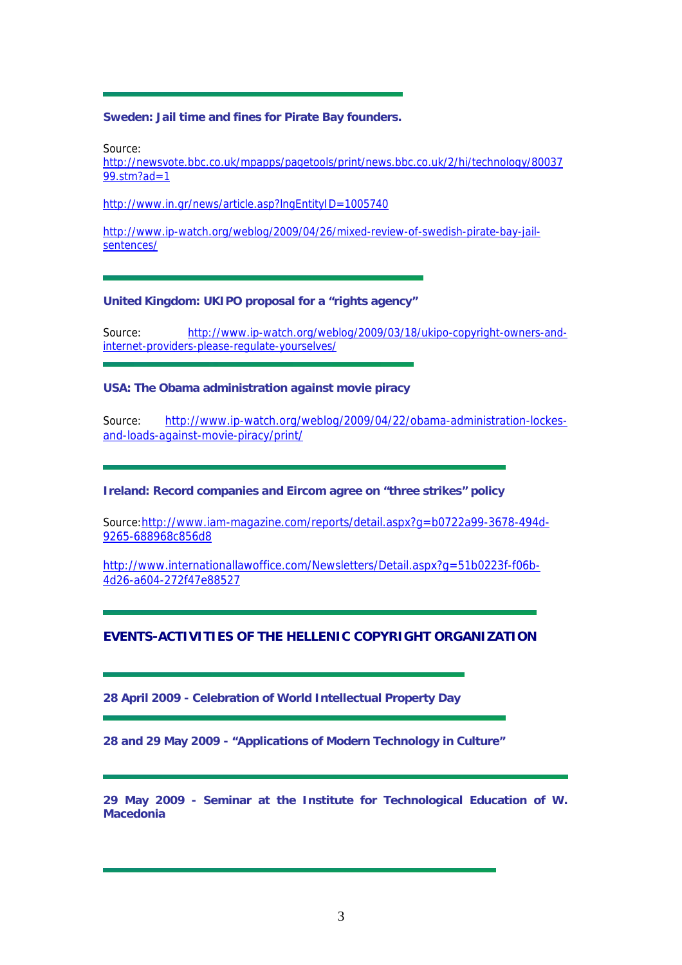### <span id="page-2-0"></span>**Sweden: Jail time and fines for Pirate Bay founders.**

Source:

[http://newsvote.bbc.co.uk/mpapps/pagetools/print/news.bbc.co.uk/2/hi/technology/80037](http://newsvote.bbc.co.uk/mpapps/pagetools/print/news.bbc.co.uk/2/hi/technology/8003799.stm?ad=1) [99.stm?ad=1](http://newsvote.bbc.co.uk/mpapps/pagetools/print/news.bbc.co.uk/2/hi/technology/8003799.stm?ad=1)

<http://www.in.gr/news/article.asp?lngEntityID=1005740>

[http://www.ip-watch.org/weblog/2009/04/26/mixed-review-of-swedish-pirate-bay-jail](http://www.ip-watch.org/weblog/2009/04/26/mixed-review-of-swedish-pirate-bay-jail-sentences/)[sentences/](http://www.ip-watch.org/weblog/2009/04/26/mixed-review-of-swedish-pirate-bay-jail-sentences/)

### **United Kingdom: UKIPO proposal for a "rights agency"**

Source: [http://www.ip-watch.org/weblog/2009/03/18/ukipo-copyright-owners-and](http://www.ip-watch.org/weblog/2009/03/18/ukipo-copyright-owners-and-internet-providers-please-regulate-yourselves/)[internet-providers-please-regulate-yourselves/](http://www.ip-watch.org/weblog/2009/03/18/ukipo-copyright-owners-and-internet-providers-please-regulate-yourselves/)

### **USA: The Obama administration against movie piracy**

Source: [http://www.ip-watch.org/weblog/2009/04/22/obama-administration-lockes](http://www.ip-watch.org/weblog/2009/04/22/obama-administration-lockes-and-loads-against-movie-piracy/print/)[and-loads-against-movie-piracy/print/](http://www.ip-watch.org/weblog/2009/04/22/obama-administration-lockes-and-loads-against-movie-piracy/print/)

**Ireland: Record companies and Eircom agree on "three strikes" policy** 

Source:[http://www.iam-magazine.com/reports/detail.aspx?g=b0722a99-3678-494d-](http://www.iam-magazine.com/reports/detail.aspx?g=b0722a99-3678-494d-9265-688968c856d8)[9265-688968c856d8](http://www.iam-magazine.com/reports/detail.aspx?g=b0722a99-3678-494d-9265-688968c856d8)

[http://www.internationallawoffice.com/Newsletters/Detail.aspx?g=51b0223f-f06b-](http://www.internationallawoffice.com/Newsletters/Detail.aspx?g=51b0223f-f06b-4d26-a604-272f47e88527)[4d26-a604-272f47e88527](http://www.internationallawoffice.com/Newsletters/Detail.aspx?g=51b0223f-f06b-4d26-a604-272f47e88527)

## **EVENTS-ACTIVITIES OF THE HELLENIC COPYRIGHT ORGANIZATION**

**28 April 2009 - Celebration of World Intellectual Property Day** 

**28 and 29 May 2009 - "Applications of Modern Technology in Culture"**

**29 May 2009 - Seminar at the Institute for Technological Education of W. Macedonia**